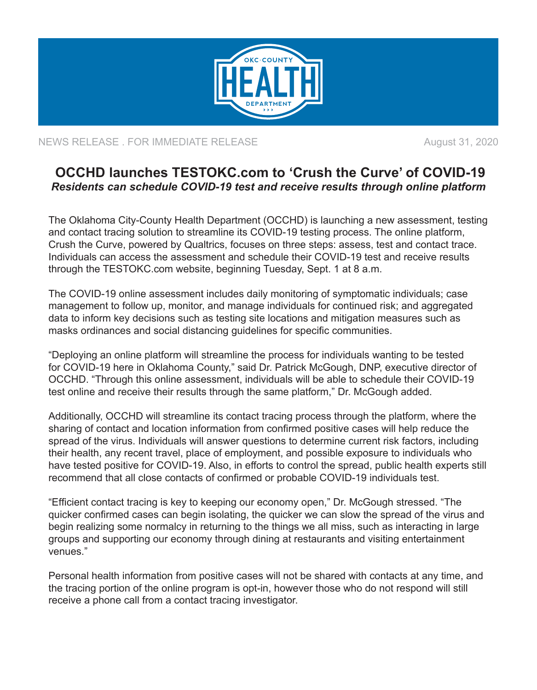

NEWS RELEASE . FOR IMMEDIATE RELEASE **August 31, 2020** 

## **OCCHD launches TESTOKC.com to 'Crush the Curve' of COVID-19** *Residents can schedule COVID-19 test and receive results through online platform*

The Oklahoma City-County Health Department (OCCHD) is launching a new assessment, testing and contact tracing solution to streamline its COVID-19 testing process. The online platform, Crush the Curve, powered by Qualtrics, focuses on three steps: assess, test and contact trace. Individuals can access the assessment and schedule their COVID-19 test and receive results through the TESTOKC.com website, beginning Tuesday, Sept. 1 at 8 a.m.

The COVID-19 online assessment includes daily monitoring of symptomatic individuals; case management to follow up, monitor, and manage individuals for continued risk; and aggregated data to inform key decisions such as testing site locations and mitigation measures such as masks ordinances and social distancing guidelines for specific communities.

"Deploying an online platform will streamline the process for individuals wanting to be tested for COVID-19 here in Oklahoma County," said Dr. Patrick McGough, DNP, executive director of OCCHD. "Through this online assessment, individuals will be able to schedule their COVID-19 test online and receive their results through the same platform," Dr. McGough added.

Additionally, OCCHD will streamline its contact tracing process through the platform, where the sharing of contact and location information from confirmed positive cases will help reduce the spread of the virus. Individuals will answer questions to determine current risk factors, including their health, any recent travel, place of employment, and possible exposure to individuals who have tested positive for COVID-19. Also, in efforts to control the spread, public health experts still recommend that all close contacts of confirmed or probable COVID-19 individuals test.

"Efficient contact tracing is key to keeping our economy open," Dr. McGough stressed. "The quicker confirmed cases can begin isolating, the quicker we can slow the spread of the virus and begin realizing some normalcy in returning to the things we all miss, such as interacting in large groups and supporting our economy through dining at restaurants and visiting entertainment venues."

Personal health information from positive cases will not be shared with contacts at any time, and the tracing portion of the online program is opt-in, however those who do not respond will still receive a phone call from a contact tracing investigator.